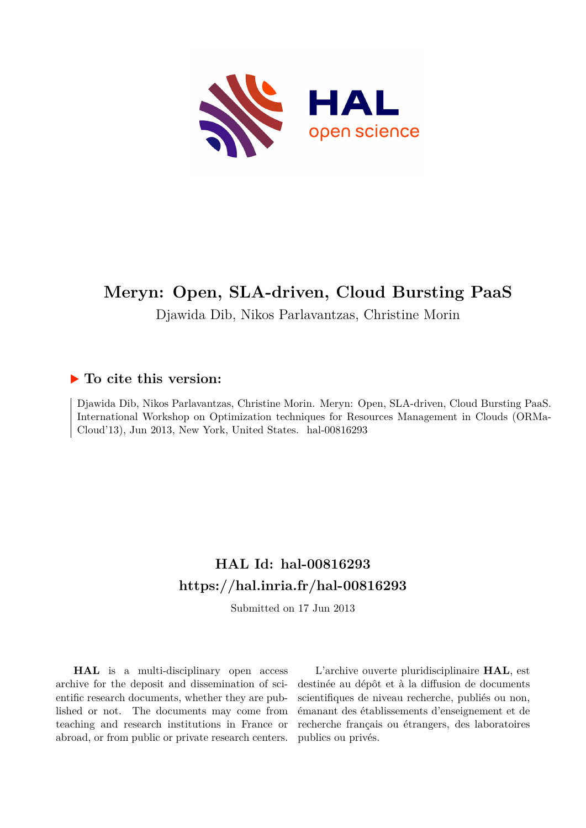

# **Meryn: Open, SLA-driven, Cloud Bursting PaaS**

Djawida Dib, Nikos Parlavantzas, Christine Morin

# **To cite this version:**

Djawida Dib, Nikos Parlavantzas, Christine Morin. Meryn: Open, SLA-driven, Cloud Bursting PaaS. International Workshop on Optimization techniques for Resources Management in Clouds (ORMa-Cloud'13), Jun 2013, New York, United States. hal-00816293

# **HAL Id: hal-00816293 <https://hal.inria.fr/hal-00816293>**

Submitted on 17 Jun 2013

**HAL** is a multi-disciplinary open access archive for the deposit and dissemination of scientific research documents, whether they are published or not. The documents may come from teaching and research institutions in France or abroad, or from public or private research centers.

L'archive ouverte pluridisciplinaire **HAL**, est destinée au dépôt et à la diffusion de documents scientifiques de niveau recherche, publiés ou non, émanant des établissements d'enseignement et de recherche français ou étrangers, des laboratoires publics ou privés.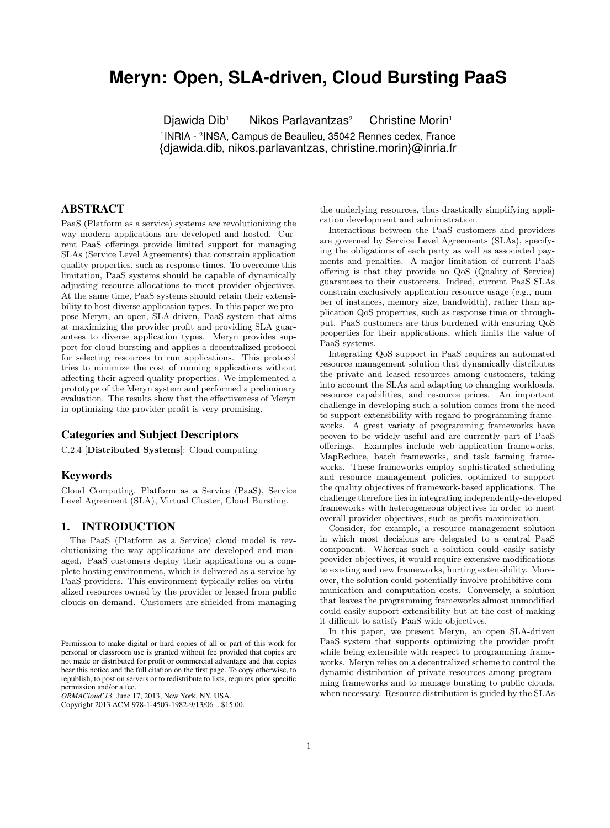# **Meryn: Open, SLA-driven, Cloud Bursting PaaS**

Diawida Dib<sup>1</sup> Nikos Parlavantzas<sup>2</sup> Christine Morin<sup>1</sup> <sup>1</sup>INRIA - <sup>2</sup>INSA, Campus de Beaulieu, 35042 Rennes cedex, France {djawida.dib, nikos.parlavantzas, christine.morin}@inria.fr

# ABSTRACT

PaaS (Platform as a service) systems are revolutionizing the way modern applications are developed and hosted. Current PaaS offerings provide limited support for managing SLAs (Service Level Agreements) that constrain application quality properties, such as response times. To overcome this limitation, PaaS systems should be capable of dynamically adjusting resource allocations to meet provider objectives. At the same time, PaaS systems should retain their extensibility to host diverse application types. In this paper we propose Meryn, an open, SLA-driven, PaaS system that aims at maximizing the provider profit and providing SLA guarantees to diverse application types. Meryn provides support for cloud bursting and applies a decentralized protocol for selecting resources to run applications. This protocol tries to minimize the cost of running applications without affecting their agreed quality properties. We implemented a prototype of the Meryn system and performed a preliminary evaluation. The results show that the effectiveness of Meryn in optimizing the provider profit is very promising.

# Categories and Subject Descriptors

C.2.4 [Distributed Systems]: Cloud computing

## Keywords

Cloud Computing, Platform as a Service (PaaS), Service Level Agreement (SLA), Virtual Cluster, Cloud Bursting.

# 1. INTRODUCTION

The PaaS (Platform as a Service) cloud model is revolutionizing the way applications are developed and managed. PaaS customers deploy their applications on a complete hosting environment, which is delivered as a service by PaaS providers. This environment typically relies on virtualized resources owned by the provider or leased from public clouds on demand. Customers are shielded from managing

Copyright 2013 ACM 978-1-4503-1982-9/13/06 ...\$15.00.

the underlying resources, thus drastically simplifying application development and administration.

Interactions between the PaaS customers and providers are governed by Service Level Agreements (SLAs), specifying the obligations of each party as well as associated payments and penalties. A major limitation of current PaaS offering is that they provide no QoS (Quality of Service) guarantees to their customers. Indeed, current PaaS SLAs constrain exclusively application resource usage (e.g., number of instances, memory size, bandwidth), rather than application QoS properties, such as response time or throughput. PaaS customers are thus burdened with ensuring QoS properties for their applications, which limits the value of PaaS systems.

Integrating QoS support in PaaS requires an automated resource management solution that dynamically distributes the private and leased resources among customers, taking into account the SLAs and adapting to changing workloads, resource capabilities, and resource prices. An important challenge in developing such a solution comes from the need to support extensibility with regard to programming frameworks. A great variety of programming frameworks have proven to be widely useful and are currently part of PaaS offerings. Examples include web application frameworks, MapReduce, batch frameworks, and task farming frameworks. These frameworks employ sophisticated scheduling and resource management policies, optimized to support the quality objectives of framework-based applications. The challenge therefore lies in integrating independently-developed frameworks with heterogeneous objectives in order to meet overall provider objectives, such as profit maximization.

Consider, for example, a resource management solution in which most decisions are delegated to a central PaaS component. Whereas such a solution could easily satisfy provider objectives, it would require extensive modifications to existing and new frameworks, hurting extensibility. Moreover, the solution could potentially involve prohibitive communication and computation costs. Conversely, a solution that leaves the programming frameworks almost unmodified could easily support extensibility but at the cost of making it difficult to satisfy PaaS-wide objectives.

In this paper, we present Meryn, an open SLA-driven PaaS system that supports optimizing the provider profit while being extensible with respect to programming frameworks. Meryn relies on a decentralized scheme to control the dynamic distribution of private resources among programming frameworks and to manage bursting to public clouds, when necessary. Resource distribution is guided by the SLAs

Permission to make digital or hard copies of all or part of this work for personal or classroom use is granted without fee provided that copies are not made or distributed for profit or commercial advantage and that copies bear this notice and the full citation on the first page. To copy otherwise, to republish, to post on servers or to redistribute to lists, requires prior specific permission and/or a fee.

*ORMACloud'13,* June 17, 2013, New York, NY, USA.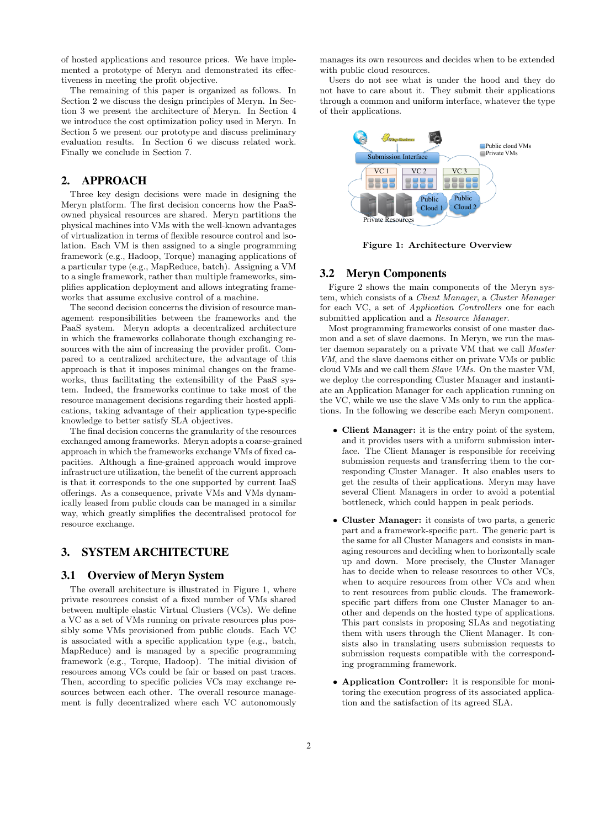of hosted applications and resource prices. We have implemented a prototype of Meryn and demonstrated its effectiveness in meeting the profit objective.

The remaining of this paper is organized as follows. In Section 2 we discuss the design principles of Meryn. In Section 3 we present the architecture of Meryn. In Section 4 we introduce the cost optimization policy used in Meryn. In Section 5 we present our prototype and discuss preliminary evaluation results. In Section 6 we discuss related work. Finally we conclude in Section 7.

# 2. APPROACH

Three key design decisions were made in designing the Meryn platform. The first decision concerns how the PaaSowned physical resources are shared. Meryn partitions the physical machines into VMs with the well-known advantages of virtualization in terms of flexible resource control and isolation. Each VM is then assigned to a single programming framework (e.g., Hadoop, Torque) managing applications of a particular type (e.g., MapReduce, batch). Assigning a VM to a single framework, rather than multiple frameworks, simplifies application deployment and allows integrating frameworks that assume exclusive control of a machine.

The second decision concerns the division of resource management responsibilities between the frameworks and the PaaS system. Meryn adopts a decentralized architecture in which the frameworks collaborate though exchanging resources with the aim of increasing the provider profit. Compared to a centralized architecture, the advantage of this approach is that it imposes minimal changes on the frameworks, thus facilitating the extensibility of the PaaS system. Indeed, the frameworks continue to take most of the resource management decisions regarding their hosted applications, taking advantage of their application type-specific knowledge to better satisfy SLA objectives.

The final decision concerns the granularity of the resources exchanged among frameworks. Meryn adopts a coarse-grained approach in which the frameworks exchange VMs of fixed capacities. Although a fine-grained approach would improve infrastructure utilization, the benefit of the current approach is that it corresponds to the one supported by current IaaS offerings. As a consequence, private VMs and VMs dynamically leased from public clouds can be managed in a similar way, which greatly simplifies the decentralised protocol for resource exchange.

# 3. SYSTEM ARCHITECTURE

#### 3.1 Overview of Meryn System

The overall architecture is illustrated in Figure 1, where private resources consist of a fixed number of VMs shared between multiple elastic Virtual Clusters (VCs). We define a VC as a set of VMs running on private resources plus possibly some VMs provisioned from public clouds. Each VC is associated with a specific application type (e.g., batch, MapReduce) and is managed by a specific programming framework (e.g., Torque, Hadoop). The initial division of resources among VCs could be fair or based on past traces. Then, according to specific policies VCs may exchange resources between each other. The overall resource management is fully decentralized where each VC autonomously

manages its own resources and decides when to be extended with public cloud resources.

Users do not see what is under the hood and they do not have to care about it. They submit their applications through a common and uniform interface, whatever the type of their applications.



Figure 1: Architecture Overview

#### 3.2 Meryn Components

Figure 2 shows the main components of the Meryn system, which consists of a Client Manager, a Cluster Manager for each VC, a set of Application Controllers one for each submitted application and a *Resource Manager*.

Most programming frameworks consist of one master daemon and a set of slave daemons. In Meryn, we run the master daemon separately on a private VM that we call Master VM, and the slave daemons either on private VMs or public cloud VMs and we call them Slave VMs. On the master VM, we deploy the corresponding Cluster Manager and instantiate an Application Manager for each application running on the VC, while we use the slave VMs only to run the applications. In the following we describe each Meryn component.

- Client Manager: it is the entry point of the system, and it provides users with a uniform submission interface. The Client Manager is responsible for receiving submission requests and transferring them to the corresponding Cluster Manager. It also enables users to get the results of their applications. Meryn may have several Client Managers in order to avoid a potential bottleneck, which could happen in peak periods.
- Cluster Manager: it consists of two parts, a generic part and a framework-specific part. The generic part is the same for all Cluster Managers and consists in managing resources and deciding when to horizontally scale up and down. More precisely, the Cluster Manager has to decide when to release resources to other VCs, when to acquire resources from other VCs and when to rent resources from public clouds. The frameworkspecific part differs from one Cluster Manager to another and depends on the hosted type of applications. This part consists in proposing SLAs and negotiating them with users through the Client Manager. It consists also in translating users submission requests to submission requests compatible with the corresponding programming framework.
- Application Controller: it is responsible for monitoring the execution progress of its associated application and the satisfaction of its agreed SLA.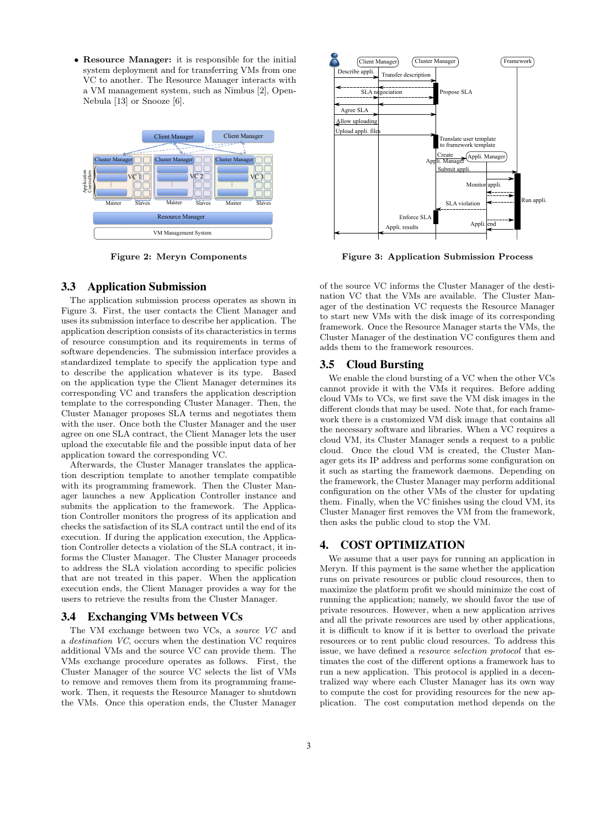• Resource Manager: it is responsible for the initial system deployment and for transferring VMs from one VC to another. The Resource Manager interacts with a VM management system, such as Nimbus [2], Open-Nebula [13] or Snooze [6].



Figure 2: Meryn Components

# 3.3 Application Submission

The application submission process operates as shown in Figure 3. First, the user contacts the Client Manager and uses its submission interface to describe her application. The application description consists of its characteristics in terms of resource consumption and its requirements in terms of software dependencies. The submission interface provides a standardized template to specify the application type and to describe the application whatever is its type. Based on the application type the Client Manager determines its corresponding VC and transfers the application description template to the corresponding Cluster Manager. Then, the Cluster Manager proposes SLA terms and negotiates them with the user. Once both the Cluster Manager and the user agree on one SLA contract, the Client Manager lets the user upload the executable file and the possible input data of her application toward the corresponding VC.

Afterwards, the Cluster Manager translates the application description template to another template compatible with its programming framework. Then the Cluster Manager launches a new Application Controller instance and submits the application to the framework. The Application Controller monitors the progress of its application and checks the satisfaction of its SLA contract until the end of its execution. If during the application execution, the Application Controller detects a violation of the SLA contract, it informs the Cluster Manager. The Cluster Manager proceeds to address the SLA violation according to specific policies that are not treated in this paper. When the application execution ends, the Client Manager provides a way for the users to retrieve the results from the Cluster Manager.

# 3.4 Exchanging VMs between VCs

The VM exchange between two VCs, a source VC and a destination VC, occurs when the destination VC requires additional VMs and the source VC can provide them. The VMs exchange procedure operates as follows. First, the Cluster Manager of the source VC selects the list of VMs to remove and removes them from its programming framework. Then, it requests the Resource Manager to shutdown the VMs. Once this operation ends, the Cluster Manager



Figure 3: Application Submission Process

of the source VC informs the Cluster Manager of the destination VC that the VMs are available. The Cluster Manager of the destination VC requests the Resource Manager to start new VMs with the disk image of its corresponding framework. Once the Resource Manager starts the VMs, the Cluster Manager of the destination VC configures them and adds them to the framework resources.

# 3.5 Cloud Bursting

We enable the cloud bursting of a VC when the other VCs cannot provide it with the VMs it requires. Before adding cloud VMs to VCs, we first save the VM disk images in the different clouds that may be used. Note that, for each framework there is a customized VM disk image that contains all the necessary software and libraries. When a VC requires a cloud VM, its Cluster Manager sends a request to a public cloud. Once the cloud VM is created, the Cluster Manager gets its IP address and performs some configuration on it such as starting the framework daemons. Depending on the framework, the Cluster Manager may perform additional configuration on the other VMs of the cluster for updating them. Finally, when the VC finishes using the cloud VM, its Cluster Manager first removes the VM from the framework, then asks the public cloud to stop the VM.

# 4. COST OPTIMIZATION

We assume that a user pays for running an application in Meryn. If this payment is the same whether the application runs on private resources or public cloud resources, then to maximize the platform profit we should minimize the cost of running the application; namely, we should favor the use of private resources. However, when a new application arrives and all the private resources are used by other applications, it is difficult to know if it is better to overload the private resources or to rent public cloud resources. To address this issue, we have defined a resource selection protocol that estimates the cost of the different options a framework has to run a new application. This protocol is applied in a decentralized way where each Cluster Manager has its own way to compute the cost for providing resources for the new application. The cost computation method depends on the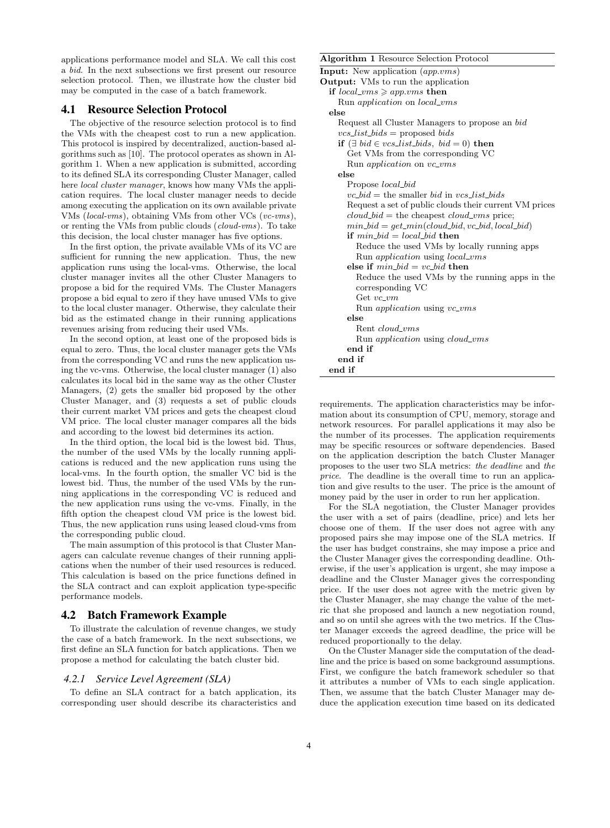applications performance model and SLA. We call this cost a bid. In the next subsections we first present our resource selection protocol. Then, we illustrate how the cluster bid may be computed in the case of a batch framework.

#### 4.1 Resource Selection Protocol

The objective of the resource selection protocol is to find the VMs with the cheapest cost to run a new application. This protocol is inspired by decentralized, auction-based algorithms such as [10]. The protocol operates as shown in Algorithm 1. When a new application is submitted, according to its defined SLA its corresponding Cluster Manager, called here local cluster manager, knows how many VMs the application requires. The local cluster manager needs to decide among executing the application on its own available private VMs (local-vms), obtaining VMs from other VCs (vc-vms), or renting the VMs from public clouds (cloud-vms). To take this decision, the local cluster manager has five options.

In the first option, the private available VMs of its VC are sufficient for running the new application. Thus, the new application runs using the local-vms. Otherwise, the local cluster manager invites all the other Cluster Managers to propose a bid for the required VMs. The Cluster Managers propose a bid equal to zero if they have unused VMs to give to the local cluster manager. Otherwise, they calculate their bid as the estimated change in their running applications revenues arising from reducing their used VMs.

In the second option, at least one of the proposed bids is equal to zero. Thus, the local cluster manager gets the VMs from the corresponding VC and runs the new application using the vc-vms. Otherwise, the local cluster manager (1) also calculates its local bid in the same way as the other Cluster Managers, (2) gets the smaller bid proposed by the other Cluster Manager, and (3) requests a set of public clouds their current market VM prices and gets the cheapest cloud VM price. The local cluster manager compares all the bids and according to the lowest bid determines its action.

In the third option, the local bid is the lowest bid. Thus, the number of the used VMs by the locally running applications is reduced and the new application runs using the local-vms. In the fourth option, the smaller VC bid is the lowest bid. Thus, the number of the used VMs by the running applications in the corresponding VC is reduced and the new application runs using the vc-vms. Finally, in the fifth option the cheapest cloud VM price is the lowest bid. Thus, the new application runs using leased cloud-vms from the corresponding public cloud.

The main assumption of this protocol is that Cluster Managers can calculate revenue changes of their running applications when the number of their used resources is reduced. This calculation is based on the price functions defined in the SLA contract and can exploit application type-specific performance models.

### 4.2 Batch Framework Example

To illustrate the calculation of revenue changes, we study the case of a batch framework. In the next subsections, we first define an SLA function for batch applications. Then we propose a method for calculating the batch cluster bid.

#### *4.2.1 Service Level Agreement (SLA)*

To define an SLA contract for a batch application, its corresponding user should describe its characteristics and Algorithm 1 Resource Selection Protocol

| <b>Input:</b> New application $(app.vms)$              |
|--------------------------------------------------------|
| <b>Output:</b> VMs to run the application              |
| if $local\_vms \geq app.vms$ then                      |
| Run <i>application</i> on <i>local_vms</i>             |
| else                                                   |
| Request all Cluster Managers to propose an bid         |
| $vcs\_list\_bids =$ proposed bids                      |
| if $(\exists bid \in ves\_list\_bids, bid = 0)$ then   |
| Get VMs from the corresponding VC                      |
| Run <i>application</i> on <i>vc_vms</i>                |
| else                                                   |
| Propose <i>local_bid</i>                               |
| $vc\_bid =$ the smaller bid in $vcs\_list\_bids$       |
| Request a set of public clouds their current VM prices |
| $cloud\_bid =$ the cheapest $cloud\_vms$ price;        |
| $min\_bid = get\_min(cloud\_bid, vc\_bid, local\_bid)$ |
| if $min\_bid = local\_bid$ then                        |
| Reduce the used VMs by locally running apps            |
| Run <i>application</i> using <i>local_vms</i>          |
| else if $min\_bid = vc\_bid$ then                      |
| Reduce the used VMs by the running apps in the         |
| corresponding VC                                       |
| Get $vc\textit{vm}$                                    |
| Run <i>application</i> using <i>vc_vms</i>             |
| else                                                   |
| Rent <i>cloud_vms</i>                                  |
| Run <i>application</i> using <i>cloud_vms</i>          |
| end if                                                 |
| end if                                                 |
| end if                                                 |
|                                                        |

requirements. The application characteristics may be information about its consumption of CPU, memory, storage and network resources. For parallel applications it may also be the number of its processes. The application requirements may be specific resources or software dependencies. Based on the application description the batch Cluster Manager proposes to the user two SLA metrics: the deadline and the price. The deadline is the overall time to run an application and give results to the user. The price is the amount of money paid by the user in order to run her application.

For the SLA negotiation, the Cluster Manager provides the user with a set of pairs (deadline, price) and lets her choose one of them. If the user does not agree with any proposed pairs she may impose one of the SLA metrics. If the user has budget constrains, she may impose a price and the Cluster Manager gives the corresponding deadline. Otherwise, if the user's application is urgent, she may impose a deadline and the Cluster Manager gives the corresponding price. If the user does not agree with the metric given by the Cluster Manager, she may change the value of the metric that she proposed and launch a new negotiation round, and so on until she agrees with the two metrics. If the Cluster Manager exceeds the agreed deadline, the price will be reduced proportionally to the delay.

On the Cluster Manager side the computation of the deadline and the price is based on some background assumptions. First, we configure the batch framework scheduler so that it attributes a number of VMs to each single application. Then, we assume that the batch Cluster Manager may deduce the application execution time based on its dedicated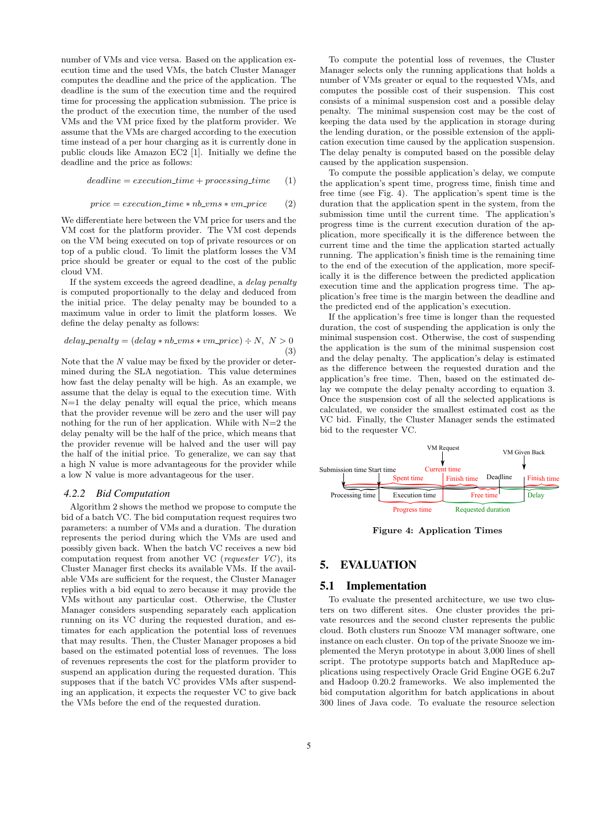number of VMs and vice versa. Based on the application execution time and the used VMs, the batch Cluster Manager computes the deadline and the price of the application. The deadline is the sum of the execution time and the required time for processing the application submission. The price is the product of the execution time, the number of the used VMs and the VM price fixed by the platform provider. We assume that the VMs are charged according to the execution time instead of a per hour charging as it is currently done in public clouds like Amazon EC2 [1]. Initially we define the deadline and the price as follows:

$$
deadline = execution\_time + processing\_time
$$
 (1)

$$
price = execution\_time * nb\_vms * vw\_price
$$
 (2)

We differentiate here between the VM price for users and the VM cost for the platform provider. The VM cost depends on the VM being executed on top of private resources or on top of a public cloud. To limit the platform losses the VM price should be greater or equal to the cost of the public cloud VM.

If the system exceeds the agreed deadline, a delay penalty is computed proportionally to the delay and deduced from the initial price. The delay penalty may be bounded to a maximum value in order to limit the platform losses. We define the delay penalty as follows:

$$
delay\_penalty = (delay * nb\_vms * vw\_price) \div N, N > 0
$$
\n(3)

Note that the  $N$  value may be fixed by the provider or determined during the SLA negotiation. This value determines how fast the delay penalty will be high. As an example, we assume that the delay is equal to the execution time. With  $N=1$  the delay penalty will equal the price, which means that the provider revenue will be zero and the user will pay nothing for the run of her application. While with  $N=2$  the delay penalty will be the half of the price, which means that the provider revenue will be halved and the user will pay the half of the initial price. To generalize, we can say that a high N value is more advantageous for the provider while a low N value is more advantageous for the user.

#### *4.2.2 Bid Computation*

Algorithm 2 shows the method we propose to compute the bid of a batch VC. The bid computation request requires two parameters: a number of VMs and a duration. The duration represents the period during which the VMs are used and possibly given back. When the batch VC receives a new bid computation request from another VC (*requester VC*), its Cluster Manager first checks its available VMs. If the available VMs are sufficient for the request, the Cluster Manager replies with a bid equal to zero because it may provide the VMs without any particular cost. Otherwise, the Cluster Manager considers suspending separately each application running on its VC during the requested duration, and estimates for each application the potential loss of revenues that may results. Then, the Cluster Manager proposes a bid based on the estimated potential loss of revenues. The loss of revenues represents the cost for the platform provider to suspend an application during the requested duration. This supposes that if the batch VC provides VMs after suspending an application, it expects the requester VC to give back the VMs before the end of the requested duration.

To compute the potential loss of revenues, the Cluster Manager selects only the running applications that holds a number of VMs greater or equal to the requested VMs, and computes the possible cost of their suspension. This cost consists of a minimal suspension cost and a possible delay penalty. The minimal suspension cost may be the cost of keeping the data used by the application in storage during the lending duration, or the possible extension of the application execution time caused by the application suspension. The delay penalty is computed based on the possible delay caused by the application suspension.

To compute the possible application's delay, we compute the application's spent time, progress time, finish time and free time (see Fig. 4). The application's spent time is the duration that the application spent in the system, from the submission time until the current time. The application's progress time is the current execution duration of the application, more specifically it is the difference between the current time and the time the application started actually running. The application's finish time is the remaining time to the end of the execution of the application, more specifically it is the difference between the predicted application execution time and the application progress time. The application's free time is the margin between the deadline and the predicted end of the application's execution.

If the application's free time is longer than the requested duration, the cost of suspending the application is only the minimal suspension cost. Otherwise, the cost of suspending the application is the sum of the minimal suspension cost and the delay penalty. The application's delay is estimated as the difference between the requested duration and the application's free time. Then, based on the estimated delay we compute the delay penalty according to equation 3. Once the suspension cost of all the selected applications is calculated, we consider the smallest estimated cost as the VC bid. Finally, the Cluster Manager sends the estimated bid to the requester VC.



Figure 4: Application Times

# 5. EVALUATION

#### 5.1 Implementation

To evaluate the presented architecture, we use two clusters on two different sites. One cluster provides the private resources and the second cluster represents the public cloud. Both clusters run Snooze VM manager software, one instance on each cluster. On top of the private Snooze we implemented the Meryn prototype in about 3,000 lines of shell script. The prototype supports batch and MapReduce applications using respectively Oracle Grid Engine OGE 6.2u7 and Hadoop 0.20.2 frameworks. We also implemented the bid computation algorithm for batch applications in about 300 lines of Java code. To evaluate the resource selection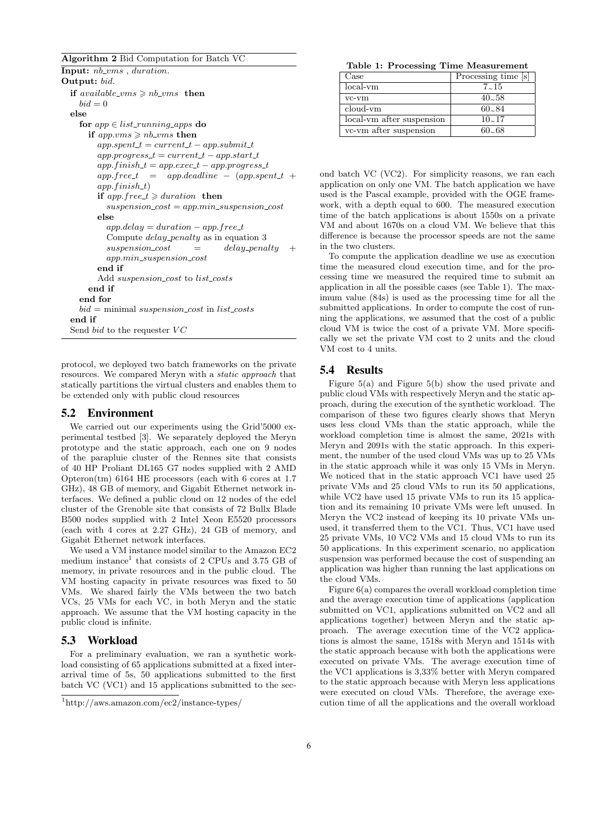Algorithm 2 Bid Computation for Batch VC

| <b>Input:</b> $nb\_vms$ , duration.                   |
|-------------------------------------------------------|
| Output: $bid.$                                        |
| if available_vms $\geqslant nb\_vms$ then             |
| $bid = 0$                                             |
| else                                                  |
| for $app \in list\_running\_apps$ do                  |
| if app.vms $\geqslant nb\_vms$ then                   |
| $app.spent\_t = current\_t - app.submit\_t$           |
| $app. progress_t = current_t - app.start_t$           |
| $app. finish_t = app.execute_t - app.properties_t$    |
| $app. free_t = app. deadline - (app. spent_t +$       |
| $app. finish_t)$                                      |
| if app.free_t $\geq$ duration then                    |
| $suspension\_cost = app.min\_suspension\_cost$        |
| else                                                  |
| $app. delay = duration - app. free_t$                 |
| Compute <i>delay_penalty</i> as in equation 3         |
| $suspension\_cost$<br>$delay\_penalty$<br>$+$         |
| $app.min\_suspension\_cost$                           |
| end if                                                |
| Add <i>suspension_cost</i> to <i>list_costs</i>       |
| end if                                                |
| end for                                               |
| $bid = \text{minimal suspension\_cost}$ in list_costs |
| end if                                                |
| Send bid to the requester $VC$                        |

protocol, we deployed two batch frameworks on the private resources. We compared Meryn with a static approach that statically partitions the virtual clusters and enables them to be extended only with public cloud resources

### 5.2 Environment

We carried out our experiments using the Grid'5000 experimental testbed [3]. We separately deployed the Meryn prototype and the static approach, each one on 9 nodes of the parapluie cluster of the Rennes site that consists of 40 HP Proliant DL165 G7 nodes supplied with 2 AMD Opteron(tm) 6164 HE processors (each with 6 cores at 1.7 GHz), 48 GB of memory, and Gigabit Ethernet network interfaces. We defined a public cloud on 12 nodes of the edel cluster of the Grenoble site that consists of 72 Bullx Blade B500 nodes supplied with 2 Intel Xeon E5520 processors (each with 4 cores at 2.27 GHz), 24 GB of memory, and Gigabit Ethernet network interfaces.

We used a VM instance model similar to the Amazon EC2 medium instance<sup>1</sup> that consists of 2 CPUs and 3.75 GB of memory, in private resources and in the public cloud. The VM hosting capacity in private resources was fixed to 50 VMs. We shared fairly the VMs between the two batch VCs, 25 VMs for each VC, in both Meryn and the static approach. We assume that the VM hosting capacity in the public cloud is infinite.

# 5.3 Workload

For a preliminary evaluation, we ran a synthetic workload consisting of 65 applications submitted at a fixed interarrival time of 5s, 50 applications submitted to the first batch VC (VC1) and 15 applications submitted to the sec-

Table 1: Processing Time Measurement

| Case                      | Processing time  s |
|---------------------------|--------------------|
| $local-vm$                | $7 - 15$           |
| vc-vm                     | $40 - 58$          |
| cloud-vm                  | $60 - 84$          |
| local-vm after suspension | $10 - 17$          |
| vc-vm after suspension    | $60 - 68$          |

ond batch VC (VC2). For simplicity reasons, we ran each application on only one VM. The batch application we have used is the Pascal example, provided with the OGE framework, with a depth equal to 600. The measured execution time of the batch applications is about 1550s on a private VM and about 1670s on a cloud VM. We believe that this difference is because the processor speeds are not the same in the two clusters.

To compute the application deadline we use as execution time the measured cloud execution time, and for the processing time we measured the required time to submit an application in all the possible cases (see Table 1). The maximum value (84s) is used as the processing time for all the submitted applications. In order to compute the cost of running the applications, we assumed that the cost of a public cloud VM is twice the cost of a private VM. More specifically we set the private VM cost to 2 units and the cloud VM cost to 4 units.

# 5.4 Results

Figure 5(a) and Figure 5(b) show the used private and public cloud VMs with respectively Meryn and the static approach, during the execution of the synthetic workload. The comparison of these two figures clearly shows that Meryn uses less cloud VMs than the static approach, while the workload completion time is almost the same, 2021s with Meryn and 2091s with the static approach. In this experiment, the number of the used cloud VMs was up to 25 VMs in the static approach while it was only 15 VMs in Meryn. We noticed that in the static approach VC1 have used 25 private VMs and 25 cloud VMs to run its 50 applications, while VC2 have used 15 private VMs to run its 15 application and its remaining 10 private VMs were left unused. In Meryn the VC2 instead of keeping its 10 private VMs unused, it transferred them to the VC1. Thus, VC1 have used 25 private VMs, 10 VC2 VMs and 15 cloud VMs to run its 50 applications. In this experiment scenario, no application suspension was performed because the cost of suspending an application was higher than running the last applications on the cloud VMs.

Figure 6(a) compares the overall workload completion time and the average execution time of applications (application submitted on VC1, applications submitted on VC2 and all applications together) between Meryn and the static approach. The average execution time of the VC2 applications is almost the same, 1518s with Meryn and 1514s with the static approach because with both the applications were executed on private VMs. The average execution time of the VC1 applications is 3,33% better with Meryn compared to the static approach because with Meryn less applications were executed on cloud VMs. Therefore, the average execution time of all the applications and the overall workload

<sup>1</sup>http://aws.amazon.com/ec2/instance-types/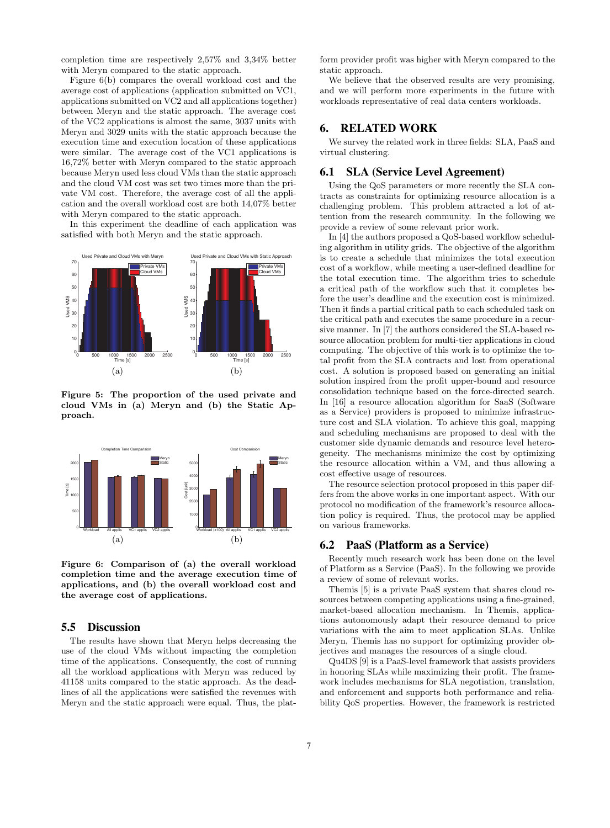completion time are respectively 2,57% and 3,34% better with Meryn compared to the static approach.

Figure 6(b) compares the overall workload cost and the average cost of applications (application submitted on VC1, applications submitted on VC2 and all applications together) between Meryn and the static approach. The average cost of the VC2 applications is almost the same, 3037 units with Meryn and 3029 units with the static approach because the execution time and execution location of these applications were similar. The average cost of the VC1 applications is 16,72% better with Meryn compared to the static approach because Meryn used less cloud VMs than the static approach and the cloud VM cost was set two times more than the private VM cost. Therefore, the average cost of all the application and the overall workload cost are both 14,07% better with Meryn compared to the static approach.

In this experiment the deadline of each application was satisfied with both Meryn and the static approach.



Figure 5: The proportion of the used private and cloud VMs in (a) Meryn and (b) the Static Approach.



Figure 6: Comparison of (a) the overall workload completion time and the average execution time of applications, and (b) the overall workload cost and the average cost of applications.

### 5.5 Discussion

The results have shown that Meryn helps decreasing the use of the cloud VMs without impacting the completion time of the applications. Consequently, the cost of running all the workload applications with Meryn was reduced by 41158 units compared to the static approach. As the deadlines of all the applications were satisfied the revenues with Meryn and the static approach were equal. Thus, the plat-

form provider profit was higher with Meryn compared to the static approach.

We believe that the observed results are very promising, and we will perform more experiments in the future with workloads representative of real data centers workloads.

## 6. RELATED WORK

We survey the related work in three fields: SLA, PaaS and virtual clustering.

#### 6.1 SLA (Service Level Agreement)

Using the QoS parameters or more recently the SLA contracts as constraints for optimizing resource allocation is a challenging problem. This problem attracted a lot of attention from the research community. In the following we provide a review of some relevant prior work.

In [4] the authors proposed a QoS-based workflow scheduling algorithm in utility grids. The objective of the algorithm is to create a schedule that minimizes the total execution cost of a workflow, while meeting a user-defined deadline for the total execution time. The algorithm tries to schedule a critical path of the workflow such that it completes before the user's deadline and the execution cost is minimized. Then it finds a partial critical path to each scheduled task on the critical path and executes the same procedure in a recursive manner. In [7] the authors considered the SLA-based resource allocation problem for multi-tier applications in cloud computing. The objective of this work is to optimize the total profit from the SLA contracts and lost from operational cost. A solution is proposed based on generating an initial solution inspired from the profit upper-bound and resource consolidation technique based on the force-directed search. In [16] a resource allocation algorithm for SaaS (Software as a Service) providers is proposed to minimize infrastructure cost and SLA violation. To achieve this goal, mapping and scheduling mechanisms are proposed to deal with the customer side dynamic demands and resource level heterogeneity. The mechanisms minimize the cost by optimizing the resource allocation within a VM, and thus allowing a cost effective usage of resources.

The resource selection protocol proposed in this paper differs from the above works in one important aspect. With our protocol no modification of the framework's resource allocation policy is required. Thus, the protocol may be applied on various frameworks.

#### 6.2 PaaS (Platform as a Service)

Recently much research work has been done on the level of Platform as a Service (PaaS). In the following we provide a review of some of relevant works.

Themis [5] is a private PaaS system that shares cloud resources between competing applications using a fine-grained, market-based allocation mechanism. In Themis, applications autonomously adapt their resource demand to price variations with the aim to meet application SLAs. Unlike Meryn, Themis has no support for optimizing provider objectives and manages the resources of a single cloud.

Qu4DS [9] is a PaaS-level framework that assists providers in honoring SLAs while maximizing their profit. The framework includes mechanisms for SLA negotiation, translation, and enforcement and supports both performance and reliability QoS properties. However, the framework is restricted